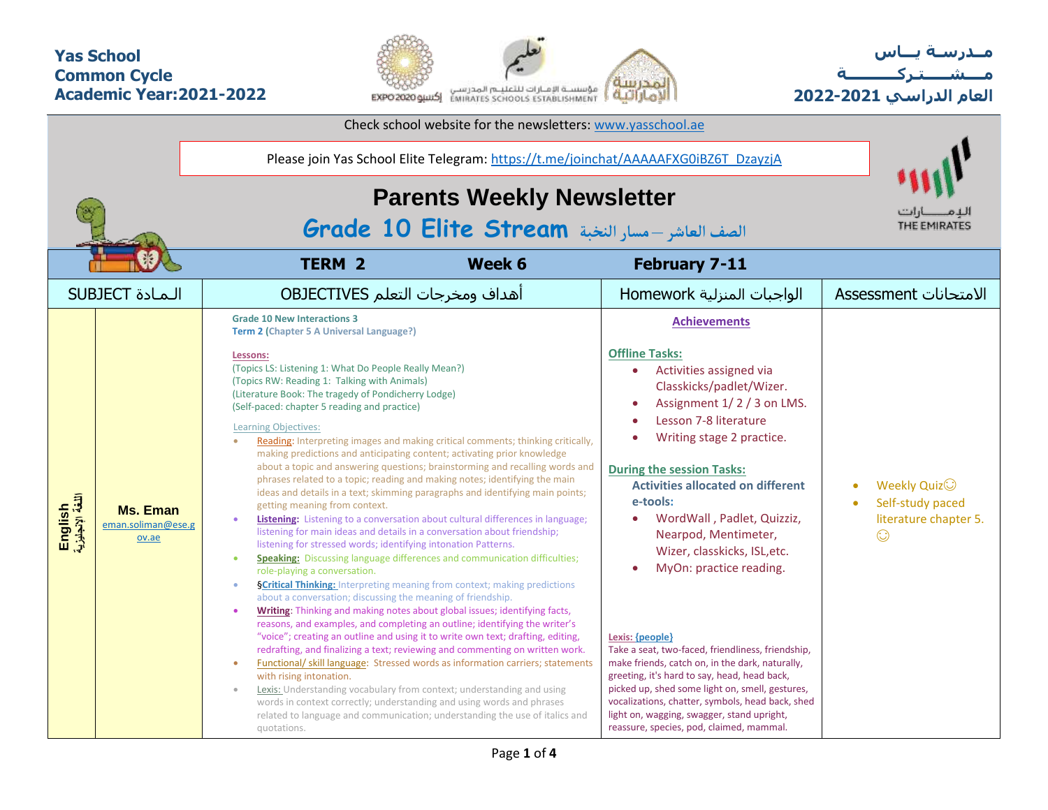## **Yas School Common Cycle Academic Year:2021-2022**



**مــدرسـة يـــاس مــــشـ ـــ ـتـ ركـ ــــــــــ ة العام الدراسي -2021 2022**

|                             |                                                | Check school website for the newsletters: www.yasschool.ae                                                                                                                                                                                                                                                                                                                                                                                                                                                                                                                                                                                                                                                                                                                                                                                                                                                                                                                                                                                                                                                                                                                                                                                                                                                                                                                                                                                                                                                                                                                                                                                                                                                                                                                                                                                                                                                                                                                                                                                                                   |                                                                                                                                                                                                                                                                                                                                                                                                                                                                                                                                                                                                                                                                                                                                                                                |                                                                                    |  |  |  |  |  |  |  |  |  |
|-----------------------------|------------------------------------------------|------------------------------------------------------------------------------------------------------------------------------------------------------------------------------------------------------------------------------------------------------------------------------------------------------------------------------------------------------------------------------------------------------------------------------------------------------------------------------------------------------------------------------------------------------------------------------------------------------------------------------------------------------------------------------------------------------------------------------------------------------------------------------------------------------------------------------------------------------------------------------------------------------------------------------------------------------------------------------------------------------------------------------------------------------------------------------------------------------------------------------------------------------------------------------------------------------------------------------------------------------------------------------------------------------------------------------------------------------------------------------------------------------------------------------------------------------------------------------------------------------------------------------------------------------------------------------------------------------------------------------------------------------------------------------------------------------------------------------------------------------------------------------------------------------------------------------------------------------------------------------------------------------------------------------------------------------------------------------------------------------------------------------------------------------------------------------|--------------------------------------------------------------------------------------------------------------------------------------------------------------------------------------------------------------------------------------------------------------------------------------------------------------------------------------------------------------------------------------------------------------------------------------------------------------------------------------------------------------------------------------------------------------------------------------------------------------------------------------------------------------------------------------------------------------------------------------------------------------------------------|------------------------------------------------------------------------------------|--|--|--|--|--|--|--|--|--|
|                             |                                                | Please join Yas School Elite Telegram: https://t.me/joinchat/AAAAAFXG0iBZ6T_DzayzjA                                                                                                                                                                                                                                                                                                                                                                                                                                                                                                                                                                                                                                                                                                                                                                                                                                                                                                                                                                                                                                                                                                                                                                                                                                                                                                                                                                                                                                                                                                                                                                                                                                                                                                                                                                                                                                                                                                                                                                                          |                                                                                                                                                                                                                                                                                                                                                                                                                                                                                                                                                                                                                                                                                                                                                                                |                                                                                    |  |  |  |  |  |  |  |  |  |
|                             |                                                | <b>Parents Weekly Newsletter</b><br>الصف العاشر –مسار النخبة Grade 10 Elite Stream                                                                                                                                                                                                                                                                                                                                                                                                                                                                                                                                                                                                                                                                                                                                                                                                                                                                                                                                                                                                                                                                                                                                                                                                                                                                                                                                                                                                                                                                                                                                                                                                                                                                                                                                                                                                                                                                                                                                                                                           |                                                                                                                                                                                                                                                                                                                                                                                                                                                                                                                                                                                                                                                                                                                                                                                |                                                                                    |  |  |  |  |  |  |  |  |  |
|                             |                                                | <b>TERM 2</b><br>Week 6                                                                                                                                                                                                                                                                                                                                                                                                                                                                                                                                                                                                                                                                                                                                                                                                                                                                                                                                                                                                                                                                                                                                                                                                                                                                                                                                                                                                                                                                                                                                                                                                                                                                                                                                                                                                                                                                                                                                                                                                                                                      | <b>February 7-11</b>                                                                                                                                                                                                                                                                                                                                                                                                                                                                                                                                                                                                                                                                                                                                                           |                                                                                    |  |  |  |  |  |  |  |  |  |
|                             | <b>SUBJECT</b> المادة                          | أهداف ومخرجات التعلم OBJECTIVES                                                                                                                                                                                                                                                                                                                                                                                                                                                                                                                                                                                                                                                                                                                                                                                                                                                                                                                                                                                                                                                                                                                                                                                                                                                                                                                                                                                                                                                                                                                                                                                                                                                                                                                                                                                                                                                                                                                                                                                                                                              | الواجبات المنزلية Homework                                                                                                                                                                                                                                                                                                                                                                                                                                                                                                                                                                                                                                                                                                                                                     | الامتحانات Assessment                                                              |  |  |  |  |  |  |  |  |  |
| English<br>اللغة الإنجليزية | <b>Ms. Eman</b><br>eman.soliman@ese.g<br>ov.ae | <b>Grade 10 New Interactions 3</b><br>Term 2 (Chapter 5 A Universal Language?)<br>Lessons:<br>(Topics LS: Listening 1: What Do People Really Mean?)<br>(Topics RW: Reading 1: Talking with Animals)<br>(Literature Book: The tragedy of Pondicherry Lodge)<br>(Self-paced: chapter 5 reading and practice)<br><b>Learning Objectives:</b><br>Reading: Interpreting images and making critical comments; thinking critically,<br>making predictions and anticipating content; activating prior knowledge<br>about a topic and answering questions; brainstorming and recalling words and<br>phrases related to a topic; reading and making notes; identifying the main<br>ideas and details in a text; skimming paragraphs and identifying main points;<br>getting meaning from context.<br>Listening: Listening to a conversation about cultural differences in language;<br>$\bullet$<br>listening for main ideas and details in a conversation about friendship;<br>listening for stressed words; identifying intonation Patterns.<br><b>Speaking:</b> Discussing language differences and communication difficulties;<br>$\bullet$<br>role-playing a conversation.<br><b>§Critical Thinking:</b> Interpreting meaning from context; making predictions<br>$\bullet$<br>about a conversation; discussing the meaning of friendship.<br>Writing: Thinking and making notes about global issues; identifying facts,<br>$\bullet$<br>reasons, and examples, and completing an outline; identifying the writer's<br>"voice"; creating an outline and using it to write own text; drafting, editing,<br>redrafting, and finalizing a text; reviewing and commenting on written work.<br><b>Functional/skill language:</b> Stressed words as information carriers; statements<br>$\bullet$<br>with rising intonation.<br>Lexis: Understanding vocabulary from context; understanding and using<br>$\circ$<br>words in context correctly; understanding and using words and phrases<br>related to language and communication; understanding the use of italics and<br>quotations. | <b>Achievements</b><br><b>Offline Tasks:</b><br>Activities assigned via<br>Classkicks/padlet/Wizer.<br>Assignment 1/2/3 on LMS.<br>Lesson 7-8 literature<br>Writing stage 2 practice.<br><b>During the session Tasks:</b><br><b>Activities allocated on different</b><br>e-tools:<br>WordWall, Padlet, Quizziz,<br>Nearpod, Mentimeter,<br>Wizer, classkicks, ISL, etc.<br>MyOn: practice reading.<br>Lexis: {people}<br>Take a seat, two-faced, friendliness, friendship,<br>make friends, catch on, in the dark, naturally,<br>greeting, it's hard to say, head, head back,<br>picked up, shed some light on, smell, gestures,<br>vocalizations, chatter, symbols, head back, shed<br>light on, wagging, swagger, stand upright,<br>reassure, species, pod, claimed, mammal. | Weekly Quiz <sup>(1)</sup><br>Self-study paced<br>literature chapter 5.<br>$\odot$ |  |  |  |  |  |  |  |  |  |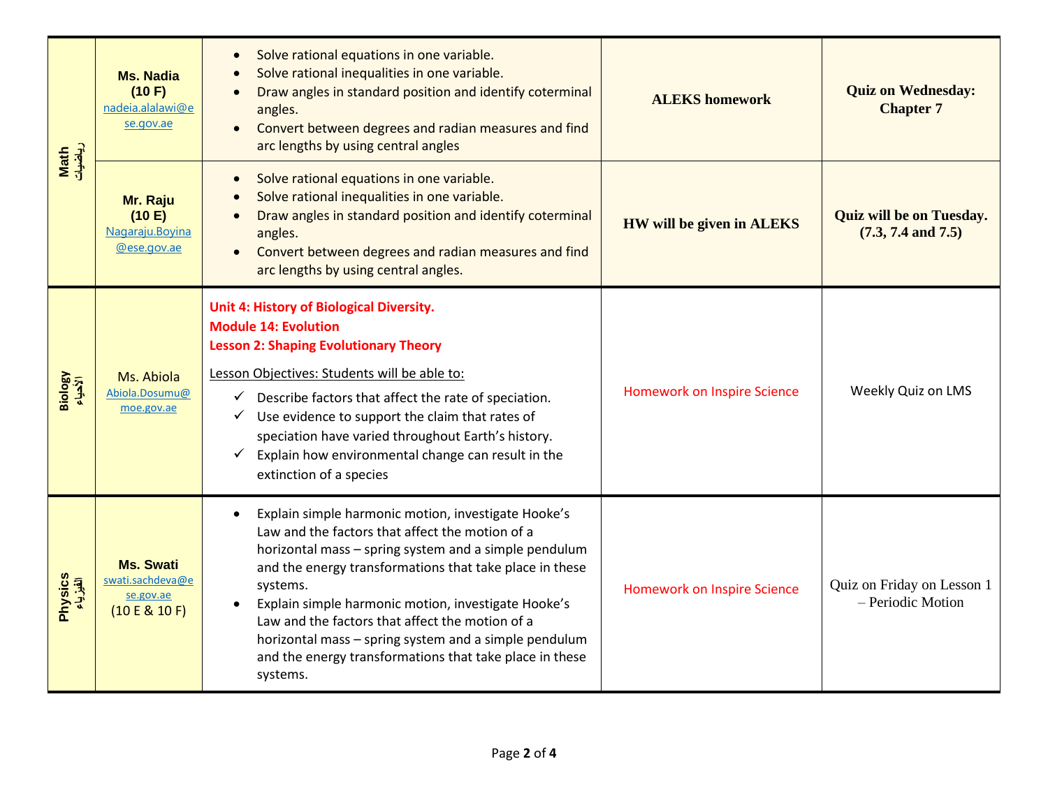| Math<br>ریاضیات     | <b>Ms. Nadia</b><br>(10 F)<br>nadeia.alalawi@e<br>se.gov.ae        | Solve rational equations in one variable.<br>Solve rational inequalities in one variable.<br>Draw angles in standard position and identify coterminal<br>angles.<br>Convert between degrees and radian measures and find<br>arc lengths by using central angles                                                                                                                                                                                                                  | <b>ALEKS</b> homework              | <b>Quiz on Wednesday:</b><br><b>Chapter 7</b><br>$(7.3, 7.4 \text{ and } 7.5)$<br>Weekly Quiz on LMS |  |
|---------------------|--------------------------------------------------------------------|----------------------------------------------------------------------------------------------------------------------------------------------------------------------------------------------------------------------------------------------------------------------------------------------------------------------------------------------------------------------------------------------------------------------------------------------------------------------------------|------------------------------------|------------------------------------------------------------------------------------------------------|--|
|                     | Mr. Raju<br>(10 E)<br>Nagaraju.Boyina<br>@ese.gov.ae               | Solve rational equations in one variable.<br>Solve rational inequalities in one variable.<br>Draw angles in standard position and identify coterminal<br>angles.<br>Convert between degrees and radian measures and find<br>arc lengths by using central angles.                                                                                                                                                                                                                 | HW will be given in ALEKS          | <b>Quiz will be on Tuesday.</b>                                                                      |  |
| Biology<br>الأحياء  | Ms. Abiola<br>Abiola.Dosumu@<br>moe.gov.ae                         | Unit 4: History of Biological Diversity.<br><b>Module 14: Evolution</b><br><b>Lesson 2: Shaping Evolutionary Theory</b><br>Lesson Objectives: Students will be able to:<br>$\checkmark$ Describe factors that affect the rate of speciation.<br>Use evidence to support the claim that rates of<br>$\checkmark$<br>speciation have varied throughout Earth's history.<br>Explain how environmental change can result in the<br>$\checkmark$<br>extinction of a species           | <b>Homework on Inspire Science</b> |                                                                                                      |  |
| Physics<br>الفيزياء | <b>Ms. Swati</b><br>swati.sachdeva@e<br>se.gov.ae<br>(10 E & 10 F) | Explain simple harmonic motion, investigate Hooke's<br>Law and the factors that affect the motion of a<br>horizontal mass - spring system and a simple pendulum<br>and the energy transformations that take place in these<br>systems.<br>Explain simple harmonic motion, investigate Hooke's<br>Law and the factors that affect the motion of a<br>horizontal mass - spring system and a simple pendulum<br>and the energy transformations that take place in these<br>systems. | Homework on Inspire Science        | Quiz on Friday on Lesson 1<br>- Periodic Motion                                                      |  |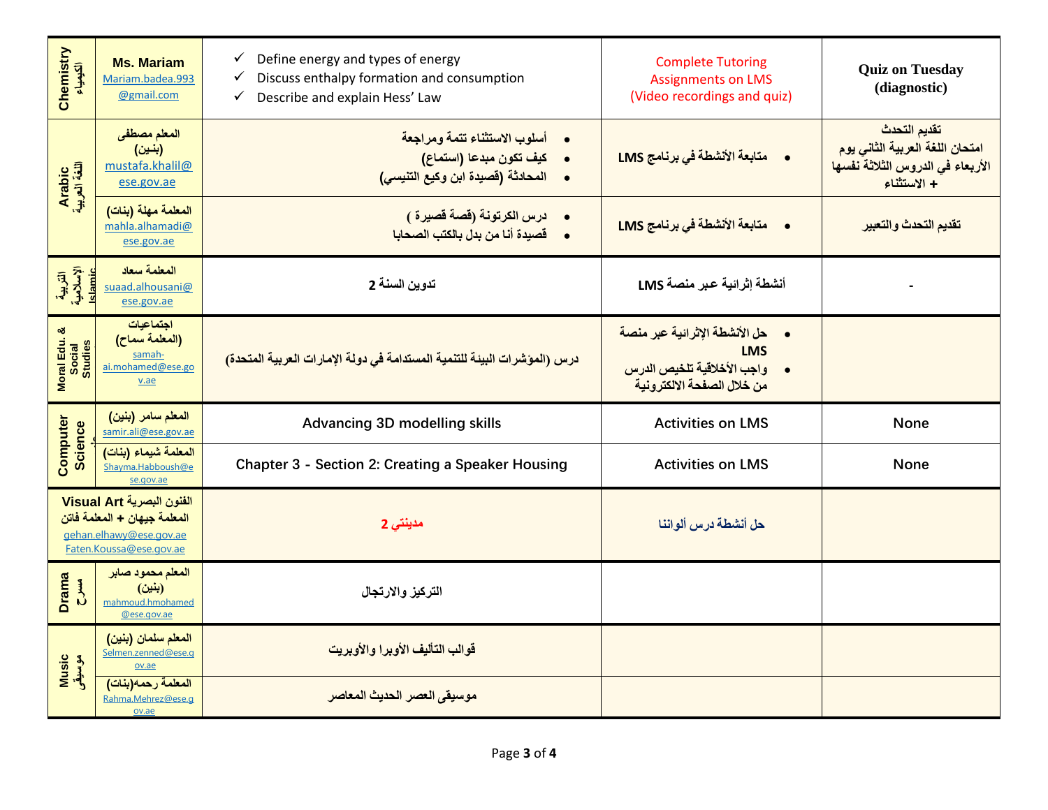| Chemistry<br>الكيمياء                | <b>Ms. Mariam</b><br>Mariam.badea.993<br>@gmail.com                                                             | Define energy and types of energy<br>$\checkmark$<br>Discuss enthalpy formation and consumption<br>$\checkmark$<br>Describe and explain Hess' Law<br>$\checkmark$ | <b>Complete Tutoring</b><br><b>Assignments on LMS</b><br>(Video recordings and quiz)                            | <b>Quiz on Tuesday</b><br>(diagnostic)                                                             |  |  |  |  |
|--------------------------------------|-----------------------------------------------------------------------------------------------------------------|-------------------------------------------------------------------------------------------------------------------------------------------------------------------|-----------------------------------------------------------------------------------------------------------------|----------------------------------------------------------------------------------------------------|--|--|--|--|
| Arabic<br>اللغة العربية              | المعلم مصطفى<br>(بنين)<br>mustafa.khalil@<br>ese.gov.ae                                                         | أسلوب الاستثناء تتمة ومراجعة<br>• كيف تكون مبدعا (استماع)<br>•     المحادثة (قصيدة ابن وكيع التنيسي)                                                              |                                                                                                                 | تقديم التحدث<br>امتحان اللغة العربية الثاني يوم<br>الأربعاء في الدروس الثلاثة نفسها<br>+ الاستثناء |  |  |  |  |
|                                      | المعلمة مهلة (بنات)<br>mahla.alhamadi@<br>ese.gov.ae                                                            | •      درس الكرتونة (قصة قصيرة )<br>•      قصيدة أنا من بدل بالكتب الصحابا                                                                                        | •      متابعة الأنشطة في برنامج LMS                                                                             | تقديم التحدث والتعبير                                                                              |  |  |  |  |
| التربية<br>الإسلامية<br>Islamic      | المعلمة سعاد<br>suaad.alhousani@<br>ese.gov.ae                                                                  | تدوين السنة 2                                                                                                                                                     | أنشطة إثرائية عبر منصة LMS                                                                                      |                                                                                                    |  |  |  |  |
| ಜ<br>Moral Edu.<br>Social<br>Studies | اجتماعيات<br>(المعلمة سماح)<br>samah-<br>ai.mohamed@ese.go<br>v.ae                                              | درس (المؤشرات البيئة للتنمية المستدامة في دولة الإمارات العربية المتحدة)                                                                                          | •      حل الأنشطة الإثر ائية عبر منصة<br><b>LMS</b><br>واجب الأخلاقية تلخيص الدرس<br>من خلال الصفحة الالكترونية |                                                                                                    |  |  |  |  |
|                                      | المعلم سامر (بنين)<br>samir.ali@ese.gov.ae                                                                      | <b>Advancing 3D modelling skills</b>                                                                                                                              | <b>Activities on LMS</b>                                                                                        | <b>None</b>                                                                                        |  |  |  |  |
| Computer<br><b>Science</b>           | المعلمة شيماء (بنات)<br>Shayma.Habboush@e<br>se.gov.ae                                                          | Chapter 3 - Section 2: Creating a Speaker Housing                                                                                                                 | <b>Activities on LMS</b>                                                                                        | None                                                                                               |  |  |  |  |
|                                      | الفنون البصرية Visual Art<br>المعلمة جيهان + المعلمة فاتن<br>gehan.elhawy@ese.gov.ae<br>Faten.Koussa@ese.gov.ae | مدينتي 2                                                                                                                                                          | حل أنشطة درس ألواننا                                                                                            |                                                                                                    |  |  |  |  |
| <b>Drama</b><br>$\mathbf{L}$         | المعلم محمود صابر<br>(بنين)<br>mahmoud.hmohamed<br>@ese.gov.ae                                                  | التركيز والارتجال                                                                                                                                                 |                                                                                                                 |                                                                                                    |  |  |  |  |
| Music<br>موسیقی                      | المعلم سلمان (بنين)<br>Selmen.zenned@ese.g<br>ov.ae                                                             | قوالب التأليف الأوبرا والأوبريت                                                                                                                                   |                                                                                                                 |                                                                                                    |  |  |  |  |
|                                      | المعلمة رحمه(بنات)<br>Rahma.Mehrez@ese.g<br>ov.ae                                                               | موسيقى العصر الحديث المعاصر                                                                                                                                       |                                                                                                                 |                                                                                                    |  |  |  |  |